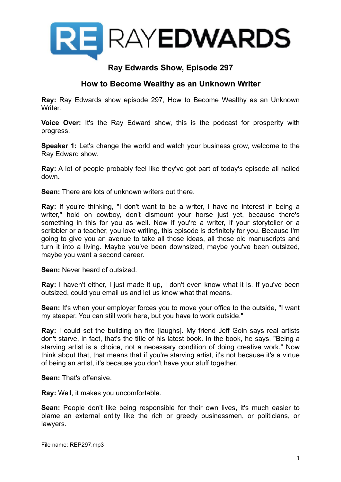

## **Ray Edwards Show, Episode 297**

## **How to Become Wealthy as an Unknown Writer**

**Ray:** Ray Edwards show episode 297, How to Become Wealthy as an Unknown Writer.

**Voice Over:** It's the Ray Edward show, this is the podcast for prosperity with progress.

**Speaker 1:** Let's change the world and watch your business grow, welcome to the Ray Edward show.

**Ray:** A lot of people probably feel like they've got part of today's episode all nailed down**.**

**Sean:** There are lots of unknown writers out there.

**Ray:** If you're thinking, "I don't want to be a writer, I have no interest in being a writer," hold on cowboy, don't dismount your horse just yet, because there's something in this for you as well. Now if you're a writer, if your storyteller or a scribbler or a teacher, you love writing, this episode is definitely for you. Because I'm going to give you an avenue to take all those ideas, all those old manuscripts and turn it into a living. Maybe you've been downsized, maybe you've been outsized, maybe you want a second career.

**Sean:** Never heard of outsized.

**Ray:** I haven't either, I just made it up, I don't even know what it is. If you've been outsized, could you email us and let us know what that means.

**Sean:** It's when your employer forces you to move your office to the outside, "I want my steeper. You can still work here, but you have to work outside."

**Ray:** I could set the building on fire [laughs]. My friend Jeff Goin says real artists don't starve, in fact, that's the title of his latest book. In the book, he says, "Being a starving artist is a choice, not a necessary condition of doing creative work." Now think about that, that means that if you're starving artist, it's not because it's a virtue of being an artist, it's because you don't have your stuff together.

**Sean:** That's offensive.

**Ray:** Well, it makes you uncomfortable.

**Sean:** People don't like being responsible for their own lives, it's much easier to blame an external entity like the rich or greedy businessmen, or politicians, or lawyers.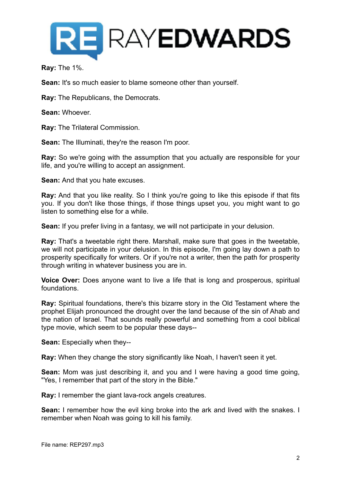

**Ray:** The 1%.

**Sean:** It's so much easier to blame someone other than yourself.

**Ray:** The Republicans, the Democrats.

**Sean:** Whoever.

**Ray:** The Trilateral Commission.

**Sean:** The Illuminati, they're the reason I'm poor.

**Ray:** So we're going with the assumption that you actually are responsible for your life, and you're willing to accept an assignment.

**Sean:** And that you hate excuses.

**Ray:** And that you like reality. So I think you're going to like this episode if that fits you. If you don't like those things, if those things upset you, you might want to go listen to something else for a while.

**Sean:** If you prefer living in a fantasy, we will not participate in your delusion.

**Ray:** That's a tweetable right there. Marshall, make sure that goes in the tweetable, we will not participate in your delusion. In this episode, I'm going lay down a path to prosperity specifically for writers. Or if you're not a writer, then the path for prosperity through writing in whatever business you are in.

**Voice Over:** Does anyone want to live a life that is long and prosperous, spiritual foundations.

**Ray:** Spiritual foundations, there's this bizarre story in the Old Testament where the prophet Elijah pronounced the drought over the land because of the sin of Ahab and the nation of Israel. That sounds really powerful and something from a cool biblical type movie, which seem to be popular these days--

**Sean:** Especially when they--

**Ray:** When they change the story significantly like Noah, I haven't seen it yet.

**Sean:** Mom was just describing it, and you and I were having a good time going, "Yes, I remember that part of the story in the Bible."

**Ray:** I remember the giant lava-rock angels creatures.

**Sean:** I remember how the evil king broke into the ark and lived with the snakes. I remember when Noah was going to kill his family.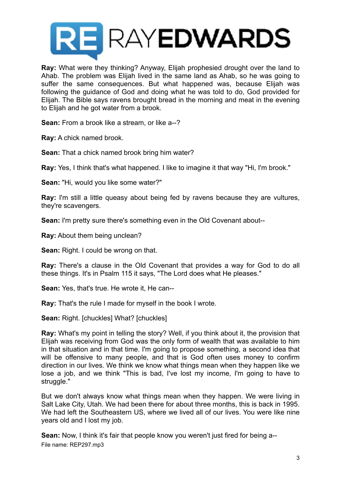

**Ray:** What were they thinking? Anyway, Elijah prophesied drought over the land to Ahab. The problem was Elijah lived in the same land as Ahab, so he was going to suffer the same consequences. But what happened was, because Elijah was following the guidance of God and doing what he was told to do, God provided for Elijah. The Bible says ravens brought bread in the morning and meat in the evening to Elijah and he got water from a brook.

**Sean:** From a brook like a stream, or like a--?

**Ray:** A chick named brook.

**Sean:** That a chick named brook bring him water?

**Ray:** Yes, I think that's what happened. I like to imagine it that way "Hi, I'm brook."

**Sean:** "Hi, would you like some water?"

**Ray:** I'm still a little queasy about being fed by ravens because they are vultures, they're scavengers.

**Sean:** I'm pretty sure there's something even in the Old Covenant about--

**Ray:** About them being unclean?

**Sean:** Right. I could be wrong on that.

**Ray:** There's a clause in the Old Covenant that provides a way for God to do all these things. It's in Psalm 115 it says, "The Lord does what He pleases."

**Sean:** Yes, that's true. He wrote it, He can--

**Ray:** That's the rule I made for myself in the book I wrote.

**Sean:** Right. [chuckles] What? [chuckles]

**Ray:** What's my point in telling the story? Well, if you think about it, the provision that Elijah was receiving from God was the only form of wealth that was available to him in that situation and in that time. I'm going to propose something, a second idea that will be offensive to many people, and that is God often uses money to confirm direction in our lives. We think we know what things mean when they happen like we lose a job, and we think "This is bad, I've lost my income, I'm going to have to struggle."

But we don't always know what things mean when they happen. We were living in Salt Lake City, Utah. We had been there for about three months, this is back in 1995. We had left the Southeastern US, where we lived all of our lives. You were like nine years old and I lost my job.

**Sean:** Now, I think it's fair that people know you weren't just fired for being a-- File name: REP297.mp3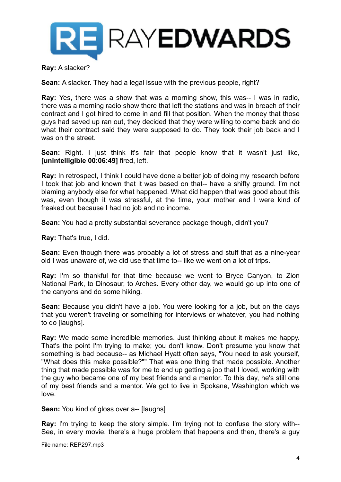

**Ray:** A slacker?

**Sean:** A slacker. They had a legal issue with the previous people, right?

**Ray:** Yes, there was a show that was a morning show, this was-- I was in radio, there was a morning radio show there that left the stations and was in breach of their contract and I got hired to come in and fill that position. When the money that those guys had saved up ran out, they decided that they were willing to come back and do what their contract said they were supposed to do. They took their job back and I was on the street.

**Sean:** Right. I just think it's fair that people know that it wasn't just like, **[unintelligible 00:06:49]** fired, left.

**Ray:** In retrospect, I think I could have done a better job of doing my research before I took that job and known that it was based on that-- have a shifty ground. I'm not blaming anybody else for what happened. What did happen that was good about this was, even though it was stressful, at the time, your mother and I were kind of freaked out because I had no job and no income.

**Sean:** You had a pretty substantial severance package though, didn't you?

**Ray:** That's true, I did.

**Sean:** Even though there was probably a lot of stress and stuff that as a nine-year old I was unaware of, we did use that time to-- like we went on a lot of trips.

**Ray:** I'm so thankful for that time because we went to Bryce Canyon, to Zion National Park, to Dinosaur, to Arches. Every other day, we would go up into one of the canyons and do some hiking.

**Sean:** Because you didn't have a job. You were looking for a job, but on the days that you weren't traveling or something for interviews or whatever, you had nothing to do [laughs].

**Ray:** We made some incredible memories. Just thinking about it makes me happy. That's the point I'm trying to make; you don't know. Don't presume you know that something is bad because-- as Michael Hyatt often says, "You need to ask yourself, "What does this make possible?"" That was one thing that made possible. Another thing that made possible was for me to end up getting a job that I loved, working with the guy who became one of my best friends and a mentor. To this day, he's still one of my best friends and a mentor. We got to live in Spokane, Washington which we love.

**Sean:** You kind of gloss over a-- [laughs]

**Ray:** I'm trying to keep the story simple. I'm trying not to confuse the story with-- See, in every movie, there's a huge problem that happens and then, there's a guy

File name: REP297.mp3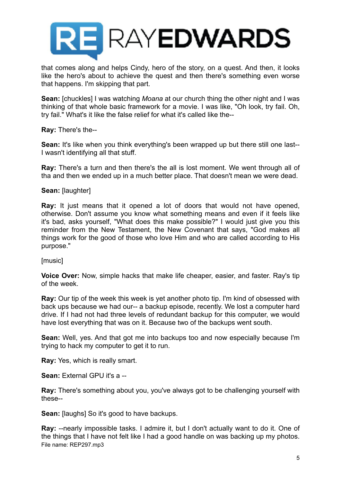

that comes along and helps Cindy, hero of the story, on a quest. And then, it looks like the hero's about to achieve the quest and then there's something even worse that happens. I'm skipping that part.

**Sean:** [chuckles] I was watching *Moana* at our church thing the other night and I was thinking of that whole basic framework for a movie. I was like, "Oh look, try fail. Oh, try fail." What's it like the false relief for what it's called like the--

**Ray:** There's the--

**Sean:** It's like when you think everything's been wrapped up but there still one last-- I wasn't identifying all that stuff.

**Ray:** There's a turn and then there's the all is lost moment. We went through all of tha and then we ended up in a much better place. That doesn't mean we were dead.

**Sean:** [laughter]

**Ray:** It just means that it opened a lot of doors that would not have opened, otherwise. Don't assume you know what something means and even if it feels like it's bad, asks yourself, "What does this make possible?" I would just give you this reminder from the New Testament, the New Covenant that says, "God makes all things work for the good of those who love Him and who are called according to His purpose."

[music]

**Voice Over:** Now, simple hacks that make life cheaper, easier, and faster. Ray's tip of the week.

**Ray:** Our tip of the week this week is yet another photo tip. I'm kind of obsessed with back ups because we had our-- a backup episode, recently. We lost a computer hard drive. If I had not had three levels of redundant backup for this computer, we would have lost everything that was on it. Because two of the backups went south.

**Sean:** Well, yes. And that got me into backups too and now especially because I'm trying to hack my computer to get it to run.

**Ray:** Yes, which is really smart.

**Sean:** External GPU it's a --

**Ray:** There's something about you, you've always got to be challenging yourself with these--

**Sean:** [laughs] So it's good to have backups.

**Ray:** --nearly impossible tasks. I admire it, but I don't actually want to do it. One of the things that I have not felt like I had a good handle on was backing up my photos. File name: REP297.mp3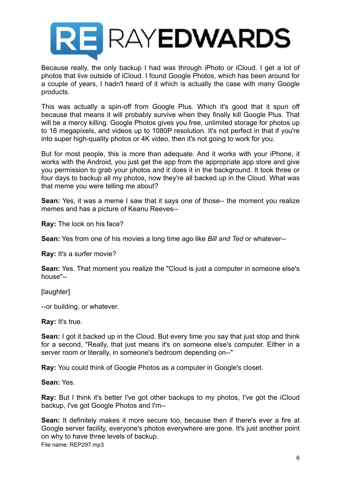

Because really, the only backup I had was through iPhoto or iCloud. I get a lot of photos that live outside of iCloud. I found Google Photos, which has been around for a couple of years, I hadn't heard of it which is actually the case with many Google products.

This was actually a spin-off from Google Plus. Which it's good that it spun off because that means it will probably survive when they finally kill Google Plus. That will be a mercy killing. Google Photos gives you free, unlimited storage for photos up to 16 megapixels, and videos up to 1080P resolution. It's not perfect in that if you're into super high-quality photos or 4K video, then it's not going to work for you.

But for most people, this is more than adequate. And it works with your iPhone, it works with the Android, you just get the app from the appropriate app store and give you permission to grab your photos and it does it in the background. It took three or four days to backup all my photos, now they're all backed up in the Cloud. What was that meme you were telling me about?

**Sean:** Yes, it was a meme I saw that it says one of those-- the moment you realize memes and has a picture of Keanu Reeves--

**Ray:** The look on his face?

**Sean:** Yes from one of his movies a long time ago like *Bill and Ted* or whatever--

**Ray:** It's a surfer movie?

**Sean:** Yes. That moment you realize the "Cloud is just a computer in someone else's house"--

[laughter]

--or building, or whatever.

**Ray:** It's true.

**Sean:** I got it backed up in the Cloud. But every time you say that just stop and think for a second, "Really, that just means it's on someone else's computer. Either in a server room or literally, in someone's bedroom depending on--"

**Ray:** You could think of Google Photos as a computer in Google's closet.

**Sean:** Yes.

**Ray:** But I think it's better I've got other backups to my photos, I've got the iCloud backup, I've got Google Photos and I'm--

**Sean:** It definitely makes it more secure too, because then if there's ever a fire at Google server facility, everyone's photos everywhere are gone. It's just another point on why to have three levels of backup. File name: REP297.mp3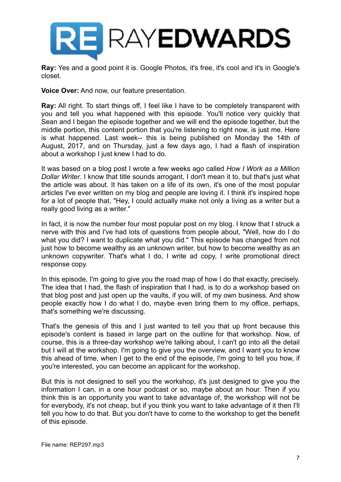

**Ray:** Yes and a good point it is. Google Photos, it's free, it's cool and it's in Google's closet.

**Voice Over:** And now, our feature presentation.

**Ray:** All right. To start things off. I feel like I have to be completely transparent with you and tell you what happened with this episode. You'll notice very quickly that Sean and I began the episode together and we will end the episode together, but the middle portion, this content portion that you're listening to right now, is just me. Here is what happened. Last week-- this is being published on Monday the 14th of August, 2017, and on Thursday, just a few days ago, I had a flash of inspiration about a workshop I just knew I had to do.

It was based on a blog post I wrote a few weeks ago called *How I Work as a Million Dollar Writer*. I know that title sounds arrogant, I don't mean it to, but that's just what the article was about. It has taken on a life of its own, it's one of the most popular articles I've ever written on my blog and people are loving it. I think it's inspired hope for a lot of people that, "Hey, I could actually make not only a living as a writer but a really good living as a writer."

In fact, it is now the number four most popular post on my blog. I know that I struck a nerve with this and I've had lots of questions from people about, "Well, how do I do what you did? I want to duplicate what you did." This episode has changed from not just how to become wealthy as an unknown writer, but how to become wealthy as an unknown copywriter. That's what I do, I write ad copy, I write promotional direct response copy.

In this episode, I'm going to give you the road map of how I do that exactly, precisely. The idea that I had, the flash of inspiration that I had, is to do a workshop based on that blog post and just open up the vaults, if you will, of my own business. And show people exactly how I do what I do, maybe even bring them to my office, perhaps, that's something we're discussing.

That's the genesis of this and I just wanted to tell you that up front because this episode's content is based in large part on the outline for that workshop. Now, of course, this is a three-day workshop we're talking about, I can't go into all the detail but I will at the workshop. I'm going to give you the overview, and I want you to know this ahead of time, when I get to the end of the episode, I'm going to tell you how, if you're interested, you can become an applicant for the workshop.

But this is not designed to sell you the workshop, it's just designed to give you the information I can, in a one hour podcast or so, maybe about an hour. Then if you think this is an opportunity you want to take advantage of, the workshop will not be for everybody, it's not cheap, but if you think you want to take advantage of it then I'll tell you how to do that. But you don't have to come to the workshop to get the benefit of this episode.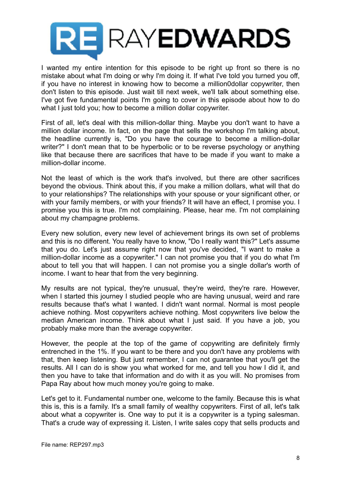

I wanted my entire intention for this episode to be right up front so there is no mistake about what I'm doing or why I'm doing it. If what I've told you turned you off, if you have no interest in knowing how to become a million0dollar copywriter, then don't listen to this episode. Just wait till next week, we'll talk about something else. I've got five fundamental points I'm going to cover in this episode about how to do what I just told you; how to become a million dollar copywriter.

First of all, let's deal with this million-dollar thing. Maybe you don't want to have a million dollar income. In fact, on the page that sells the workshop I'm talking about, the headline currently is, "Do you have the courage to become a million-dollar writer?" I don't mean that to be hyperbolic or to be reverse psychology or anything like that because there are sacrifices that have to be made if you want to make a million-dollar income.

Not the least of which is the work that's involved, but there are other sacrifices beyond the obvious. Think about this, if you make a million dollars, what will that do to your relationships? The relationships with your spouse or your significant other, or with your family members, or with your friends? It will have an effect, I promise you. I promise you this is true. I'm not complaining. Please, hear me. I'm not complaining about my champagne problems.

Every new solution, every new level of achievement brings its own set of problems and this is no different. You really have to know, "Do I really want this?" Let's assume that you do. Let's just assume right now that you've decided, "I want to make a million-dollar income as a copywriter." I can not promise you that if you do what I'm about to tell you that will happen. I can not promise you a single dollar's worth of income. I want to hear that from the very beginning.

My results are not typical, they're unusual, they're weird, they're rare. However, when I started this journey I studied people who are having unusual, weird and rare results because that's what I wanted. I didn't want normal. Normal is most people achieve nothing. Most copywriters achieve nothing. Most copywriters live below the median American income. Think about what I just said. If you have a job, you probably make more than the average copywriter.

However, the people at the top of the game of copywriting are definitely firmly entrenched in the 1%. If you want to be there and you don't have any problems with that, then keep listening. But just remember, I can not guarantee that you'll get the results. All I can do is show you what worked for me, and tell you how I did it, and then you have to take that information and do with it as you will. No promises from Papa Ray about how much money you're going to make.

Let's get to it. Fundamental number one, welcome to the family. Because this is what this is, this is a family. It's a small family of wealthy copywriters. First of all, let's talk about what a copywriter is. One way to put it is a copywriter is a typing salesman. That's a crude way of expressing it. Listen, I write sales copy that sells products and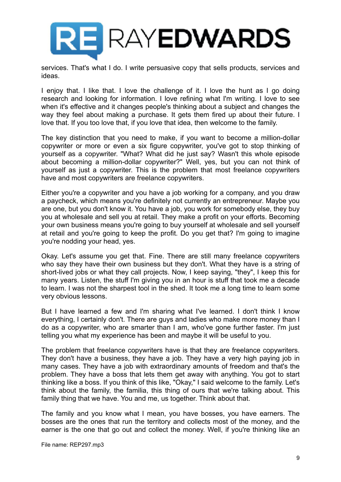

services. That's what I do. I write persuasive copy that sells products, services and ideas.

I enjoy that. I like that. I love the challenge of it. I love the hunt as I go doing research and looking for information. I love refining what I'm writing. I love to see when it's effective and it changes people's thinking about a subject and changes the way they feel about making a purchase. It gets them fired up about their future. I love that. If you too love that, if you love that idea, then welcome to the family.

The key distinction that you need to make, if you want to become a million-dollar copywriter or more or even a six figure copywriter, you've got to stop thinking of yourself as a copywriter. "What? What did he just say? Wasn't this whole episode about becoming a million-dollar copywriter?" Well, yes, but you can not think of yourself as just a copywriter. This is the problem that most freelance copywriters have and most copywriters are freelance copywriters.

Either you're a copywriter and you have a job working for a company, and you draw a paycheck, which means you're definitely not currently an entrepreneur. Maybe you are one, but you don't know it. You have a job, you work for somebody else, they buy you at wholesale and sell you at retail. They make a profit on your efforts. Becoming your own business means you're going to buy yourself at wholesale and sell yourself at retail and you're going to keep the profit. Do you get that? I'm going to imagine you're nodding your head, yes.

Okay. Let's assume you get that. Fine. There are still many freelance copywriters who say they have their own business but they don't. What they have is a string of short-lived jobs or what they call projects. Now, I keep saying, "they", I keep this for many years. Listen, the stuff I'm giving you in an hour is stuff that took me a decade to learn. I was not the sharpest tool in the shed. It took me a long time to learn some very obvious lessons.

But I have learned a few and I'm sharing what I've learned. I don't think I know everything, I certainly don't. There are guys and ladies who make more money than I do as a copywriter, who are smarter than I am, who've gone further faster. I'm just telling you what my experience has been and maybe it will be useful to you.

The problem that freelance copywriters have is that they are freelance copywriters. They don't have a business, they have a job. They have a very high paying job in many cases. They have a job with extraordinary amounts of freedom and that's the problem. They have a boss that lets them get away with anything. You got to start thinking like a boss. If you think of this like, "Okay," I said welcome to the family. Let's think about the family, the familia, this thing of ours that we're talking about. This family thing that we have. You and me, us together. Think about that.

The family and you know what I mean, you have bosses, you have earners. The bosses are the ones that run the territory and collects most of the money, and the earner is the one that go out and collect the money. Well, if you're thinking like an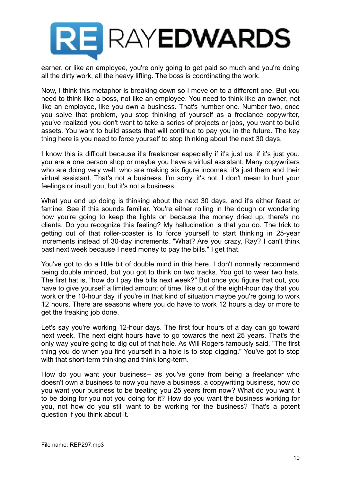

earner, or like an employee, you're only going to get paid so much and you're doing all the dirty work, all the heavy lifting. The boss is coordinating the work.

Now, I think this metaphor is breaking down so I move on to a different one. But you need to think like a boss, not like an employee. You need to think like an owner, not like an employee, like you own a business. That's number one. Number two, once you solve that problem, you stop thinking of yourself as a freelance copywriter, you've realized you don't want to take a series of projects or jobs, you want to build assets. You want to build assets that will continue to pay you in the future. The key thing here is you need to force yourself to stop thinking about the next 30 days.

I know this is difficult because it's freelancer especially if it's just us, if it's just you, you are a one person shop or maybe you have a virtual assistant. Many copywriters who are doing very well, who are making six figure incomes, it's just them and their virtual assistant. That's not a business. I'm sorry, it's not. I don't mean to hurt your feelings or insult you, but it's not a business.

What you end up doing is thinking about the next 30 days, and it's either feast or famine. See if this sounds familiar. You're either rolling in the dough or wondering how you're going to keep the lights on because the money dried up, there's no clients. Do you recognize this feeling? My hallucination is that you do. The trick to getting out of that roller-coaster is to force yourself to start thinking in 25-year increments instead of 30-day increments. "What? Are you crazy, Ray? I can't think past next week because I need money to pay the bills." I get that.

You've got to do a little bit of double mind in this here. I don't normally recommend being double minded, but you got to think on two tracks. You got to wear two hats. The first hat is, "how do I pay the bills next week?" But once you figure that out, you have to give yourself a limited amount of time, like out of the eight-hour day that you work or the 10-hour day, if you're in that kind of situation maybe you're going to work 12 hours. There are seasons where you do have to work 12 hours a day or more to get the freaking job done.

Let's say you're working 12-hour days. The first four hours of a day can go toward next week. The next eight hours have to go towards the next 25 years. That's the only way you're going to dig out of that hole. As Will Rogers famously said, "The first thing you do when you find yourself in a hole is to stop digging." You've got to stop with that short-term thinking and think long-term.

How do you want your business-- as you've gone from being a freelancer who doesn't own a business to now you have a business, a copywriting business, how do you want your business to be treating you 25 years from now? What do you want it to be doing for you not you doing for it? How do you want the business working for you, not how do you still want to be working for the business? That's a potent question if you think about it.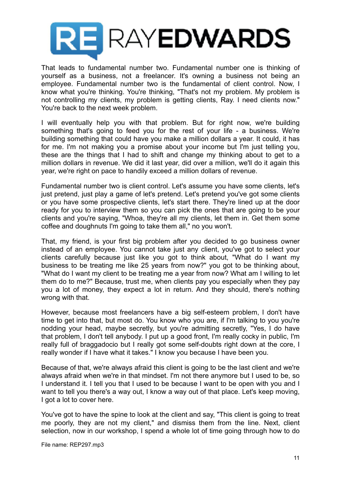

That leads to fundamental number two. Fundamental number one is thinking of yourself as a business, not a freelancer. It's owning a business not being an employee. Fundamental number two is the fundamental of client control. Now, I know what you're thinking. You're thinking, "That's not my problem. My problem is not controlling my clients, my problem is getting clients, Ray. I need clients now." You're back to the next week problem.

I will eventually help you with that problem. But for right now, we're building something that's going to feed you for the rest of your life - a business. We're building something that could have you make a million dollars a year. It could, it has for me. I'm not making you a promise about your income but I'm just telling you, these are the things that I had to shift and change my thinking about to get to a million dollars in revenue. We did it last year, did over a million, we'll do it again this year, we're right on pace to handily exceed a million dollars of revenue.

Fundamental number two is client control. Let's assume you have some clients, let's just pretend, just play a game of let's pretend. Let's pretend you've got some clients or you have some prospective clients, let's start there. They're lined up at the door ready for you to interview them so you can pick the ones that are going to be your clients and you're saying, "Whoa, they're all my clients, let them in. Get them some coffee and doughnuts I'm going to take them all," no you won't.

That, my friend, is your first big problem after you decided to go business owner instead of an employee. You cannot take just any client, you've got to select your clients carefully because just like you got to think about, "What do I want my business to be treating me like 25 years from now?" you got to be thinking about, "What do I want my client to be treating me a year from now? What am I willing to let them do to me?" Because, trust me, when clients pay you especially when they pay you a lot of money, they expect a lot in return. And they should, there's nothing wrong with that.

However, because most freelancers have a big self-esteem problem, I don't have time to get into that, but most do. You know who you are, if I'm talking to you you're nodding your head, maybe secretly, but you're admitting secretly, "Yes, I do have that problem, I don't tell anybody. I put up a good front, I'm really cocky in public, I'm really full of braggadocio but I really got some self-doubts right down at the core, I really wonder if I have what it takes." I know you because I have been you.

Because of that, we're always afraid this client is going to be the last client and we're always afraid when we're in that mindset. I'm not there anymore but I used to be, so I understand it. I tell you that I used to be because I want to be open with you and I want to tell you there's a way out, I know a way out of that place. Let's keep moving, I got a lot to cover here.

You've got to have the spine to look at the client and say, "This client is going to treat me poorly, they are not my client," and dismiss them from the line. Next, client selection, now in our workshop, I spend a whole lot of time going through how to do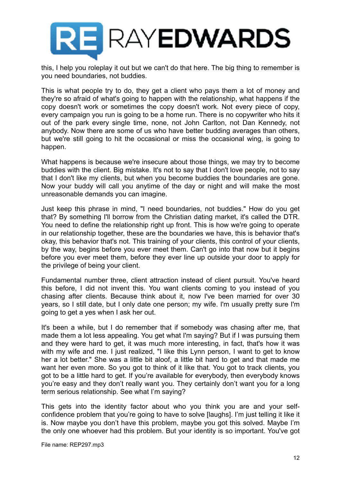

this, I help you roleplay it out but we can't do that here. The big thing to remember is you need boundaries, not buddies.

This is what people try to do, they get a client who pays them a lot of money and they're so afraid of what's going to happen with the relationship, what happens if the copy doesn't work or sometimes the copy doesn't work. Not every piece of copy, every campaign you run is going to be a home run. There is no copywriter who hits it out of the park every single time, none, not John Carlton, not Dan Kennedy, not anybody. Now there are some of us who have better budding averages than others, but we're still going to hit the occasional or miss the occasional wing, is going to happen.

What happens is because we're insecure about those things, we may try to become buddies with the client. Big mistake. It's not to say that I don't love people, not to say that I don't like my clients, but when you become buddies the boundaries are gone. Now your buddy will call you anytime of the day or night and will make the most unreasonable demands you can imagine.

Just keep this phrase in mind, "I need boundaries, not buddies." How do you get that? By something I'll borrow from the Christian dating market, it's called the DTR. You need to define the relationship right up front. This is how we're going to operate in our relationship together, these are the boundaries we have, this is behavior that's okay, this behavior that's not. This training of your clients, this control of your clients, by the way, begins before you ever meet them. Can't go into that now but it begins before you ever meet them, before they ever line up outside your door to apply for the privilege of being your client.

Fundamental number three, client attraction instead of client pursuit. You've heard this before, I did not invent this. You want clients coming to you instead of you chasing after clients. Because think about it, now I've been married for over 30 years, so I still date, but I only date one person; my wife. I'm usually pretty sure I'm going to get a yes when I ask her out.

It's been a while, but I do remember that if somebody was chasing after me, that made them a lot less appealing. You get what I'm saying? But if I was pursuing them and they were hard to get, it was much more interesting, in fact, that's how it was with my wife and me. I just realized, "I like this Lynn person, I want to get to know her a lot better." She was a little bit aloof, a little bit hard to get and that made me want her even more. So you got to think of it like that. You got to track clients, you got to be a little hard to get. If you're available for everybody, then everybody knows you're easy and they don't really want you. They certainly don't want you for a long term serious relationship. See what I'm saying?

This gets into the identity factor about who you think you are and your selfconfidence problem that you're going to have to solve [laughs]. I'm just telling it like it is. Now maybe you don't have this problem, maybe you got this solved. Maybe I'm the only one whoever had this problem. But your identity is so important. You've got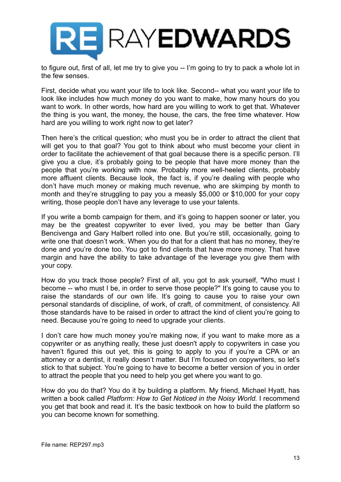

to figure out, first of all, let me try to give you -- I'm going to try to pack a whole lot in the few senses.

First, decide what you want your life to look like. Second-- what you want your life to look like includes how much money do you want to make, how many hours do you want to work. In other words, how hard are you willing to work to get that. Whatever the thing is you want, the money, the house, the cars, the free time whatever. How hard are you willing to work right now to get later?

Then here's the critical question; who must you be in order to attract the client that will get you to that goal? You got to think about who must become your client in order to facilitate the achievement of that goal because there is a specific person. I'll give you a clue, it's probably going to be people that have more money than the people that you're working with now. Probably more well-heeled clients, probably more affluent clients. Because look, the fact is, if you're dealing with people who don't have much money or making much revenue, who are skimping by month to month and they're struggling to pay you a measly \$5,000 or \$10,000 for your copy writing, those people don't have any leverage to use your talents.

If you write a bomb campaign for them, and it's going to happen sooner or later, you may be the greatest copywriter to ever lived, you may be better than Gary Bencivenga and Gary Halbert rolled into one. But you're still, occasionally, going to write one that doesn't work. When you do that for a client that has no money, they're done and you're done too. You got to find clients that have more money. That have margin and have the ability to take advantage of the leverage you give them with your copy.

How do you track those people? First of all, you got to ask yourself, "Who must I become -- who must I be, in order to serve those people?" It's going to cause you to raise the standards of our own life. It's going to cause you to raise your own personal standards of discipline, of work, of craft, of commitment, of consistency. All those standards have to be raised in order to attract the kind of client you're going to need. Because you're going to need to upgrade your clients.

I don't care how much money you're making now, if you want to make more as a copywriter or as anything really, these just doesn't apply to copywriters in case you haven't figured this out yet, this is going to apply to you if you're a CPA or an attorney or a dentist, it really doesn't matter. But I'm focused on copywriters, so let's stick to that subject. You're going to have to become a better version of you in order to attract the people that you need to help you get where you want to go.

How do you do that? You do it by building a platform. My friend, Michael Hyatt, has written a book called *Platform: How to Get Noticed in the Noisy World.* I recommend you get that book and read it. It's the basic textbook on how to build the platform so you can become known for something.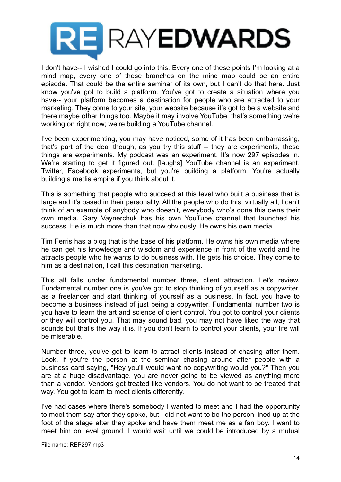

I don't have-- I wished I could go into this. Every one of these points I'm looking at a mind map, every one of these branches on the mind map could be an entire episode. That could be the entire seminar of its own, but I can't do that here. Just know you've got to build a platform. You've got to create a situation where you have-- your platform becomes a destination for people who are attracted to your marketing. They come to your site, your website because it's got to be a website and there maybe other things too. Maybe it may involve YouTube, that's something we're working on right now; we're building a YouTube channel.

I've been experimenting, you may have noticed, some of it has been embarrassing, that's part of the deal though, as you try this stuff -- they are experiments, these things are experiments. My podcast was an experiment. It's now 297 episodes in. We're starting to get it figured out. [laughs] YouTube channel is an experiment. Twitter, Facebook experiments, but you're building a platform. You're actually building a media empire if you think about it.

This is something that people who succeed at this level who built a business that is large and it's based in their personality. All the people who do this, virtually all, I can't think of an example of anybody who doesn't, everybody who's done this owns their own media. Gary Vaynerchuk has his own YouTube channel that launched his success. He is much more than that now obviously. He owns his own media.

Tim Ferris has a blog that is the base of his platform. He owns his own media where he can get his knowledge and wisdom and experience in front of the world and he attracts people who he wants to do business with. He gets his choice. They come to him as a destination, I call this destination marketing.

This all falls under fundamental number three, client attraction. Let's review. Fundamental number one is you've got to stop thinking of yourself as a copywriter, as a freelancer and start thinking of yourself as a business. In fact, you have to become a business instead of just being a copywriter. Fundamental number two is you have to learn the art and science of client control. You got to control your clients or they will control you. That may sound bad, you may not have liked the way that sounds but that's the way it is. If you don't learn to control your clients, your life will be miserable.

Number three, you've got to learn to attract clients instead of chasing after them. Look, if you're the person at the seminar chasing around after people with a business card saying, "Hey you'll would want no copywriting would you?" Then you are at a huge disadvantage, you are never going to be viewed as anything more than a vendor. Vendors get treated like vendors. You do not want to be treated that way. You got to learn to meet clients differently.

I've had cases where there's somebody I wanted to meet and I had the opportunity to meet them say after they spoke, but I did not want to be the person lined up at the foot of the stage after they spoke and have them meet me as a fan boy. I want to meet him on level ground. I would wait until we could be introduced by a mutual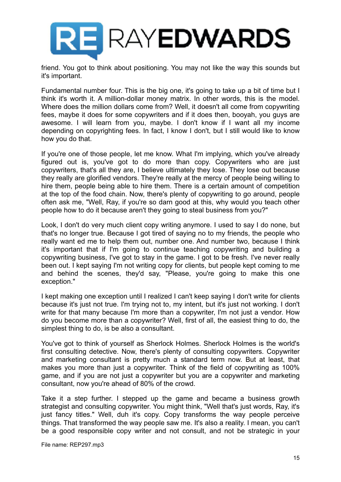

friend. You got to think about positioning. You may not like the way this sounds but it's important.

Fundamental number four. This is the big one, it's going to take up a bit of time but I think it's worth it. A million-dollar money matrix. In other words, this is the model. Where does the million dollars come from? Well, it doesn't all come from copywriting fees, maybe it does for some copywriters and if it does then, booyah, you guys are awesome. I will learn from you, maybe. I don't know if I want all my income depending on copyrighting fees. In fact, I know I don't, but I still would like to know how you do that.

If you're one of those people, let me know. What I'm implying, which you've already figured out is, you've got to do more than copy. Copywriters who are just copywriters, that's all they are, I believe ultimately they lose. They lose out because they really are glorified vendors. They're really at the mercy of people being willing to hire them, people being able to hire them. There is a certain amount of competition at the top of the food chain. Now, there's plenty of copywriting to go around, people often ask me, "Well, Ray, if you're so darn good at this, why would you teach other people how to do it because aren't they going to steal business from you?"

Look, I don't do very much client copy writing anymore. I used to say I do none, but that's no longer true. Because I got tired of saying no to my friends, the people who really want ed me to help them out, number one. And number two, because I think it's important that if I'm going to continue teaching copywriting and building a copywriting business, I've got to stay in the game. I got to be fresh. I've never really been out. I kept saying I'm not writing copy for clients, but people kept coming to me and behind the scenes, they'd say, "Please, you're going to make this one exception."

I kept making one exception until I realized I can't keep saying I don't write for clients because it's just not true. I'm trying not to, my intent, but it's just not working. I don't write for that many because I'm more than a copywriter, I'm not just a vendor. How do you become more than a copywriter? Well, first of all, the easiest thing to do, the simplest thing to do, is be also a consultant.

You've got to think of yourself as Sherlock Holmes. Sherlock Holmes is the world's first consulting detective. Now, there's plenty of consulting copywriters. Copywriter and marketing consultant is pretty much a standard term now. But at least, that makes you more than just a copywriter. Think of the field of copywriting as 100% game, and if you are not just a copywriter but you are a copywriter and marketing consultant, now you're ahead of 80% of the crowd.

Take it a step further. I stepped up the game and became a business growth strategist and consulting copywriter. You might think, "Well that's just words, Ray, it's just fancy titles." Well, duh it's copy. Copy transforms the way people perceive things. That transformed the way people saw me. It's also a reality. I mean, you can't be a good responsible copy writer and not consult, and not be strategic in your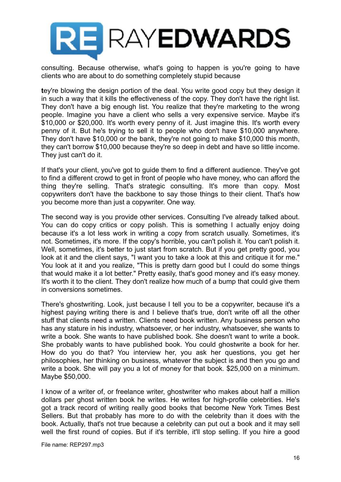

consulting. Because otherwise, what's going to happen is you're going to have clients who are about to do something completely stupid because

**t**ey're blowing the design portion of the deal. You write good copy but they design it in such a way that it kills the effectiveness of the copy. They don't have the right list. They don't have a big enough list. You realize that they're marketing to the wrong people. Imagine you have a client who sells a very expensive service. Maybe it's \$10,000 or \$20,000. It's worth every penny of it. Just imagine this. It's worth every penny of it. But he's trying to sell it to people who don't have \$10,000 anywhere. They don't have \$10,000 or the bank, they're not going to make \$10,000 this month, they can't borrow \$10,000 because they're so deep in debt and have so little income. They just can't do it.

If that's your client, you've got to guide them to find a different audience. They've got to find a different crowd to get in front of people who have money, who can afford the thing they're selling. That's strategic consulting. It's more than copy. Most copywriters don't have the backbone to say those things to their client. That's how you become more than just a copywriter. One way.

The second way is you provide other services. Consulting I've already talked about. You can do copy critics or copy polish. This is something I actually enjoy doing because it's a lot less work in writing a copy from scratch usually. Sometimes, it's not. Sometimes, it's more. If the copy's horrible, you can't polish it. You can't polish it. Well, sometimes, it's better to just start from scratch. But if you get pretty good, you look at it and the client says, "I want you to take a look at this and critique it for me." You look at it and you realize, "This is pretty darn good but I could do some things that would make it a lot better." Pretty easily, that's good money and it's easy money. It's worth it to the client. They don't realize how much of a bump that could give them in conversions sometimes.

There's ghostwriting. Look, just because I tell you to be a copywriter, because it's a highest paying writing there is and I believe that's true, don't write off all the other stuff that clients need a written. Clients need book written. Any business person who has any stature in his industry, whatsoever, or her industry, whatsoever, she wants to write a book. She wants to have published book. She doesn't want to write a book. She probably wants to have published book. You could ghostwrite a book for her. How do you do that? You interview her, you ask her questions, you get her philosophies, her thinking on business, whatever the subject is and then you go and write a book. She will pay you a lot of money for that book. \$25,000 on a minimum. Maybe \$50,000.

I know of a writer of, or freelance writer, ghostwriter who makes about half a million dollars per ghost written book he writes. He writes for high-profile celebrities. He's got a track record of writing really good books that become New York Times Best Sellers. But that probably has more to do with the celebrity than it does with the book. Actually, that's not true because a celebrity can put out a book and it may sell well the first round of copies. But if it's terrible, it'll stop selling. If you hire a good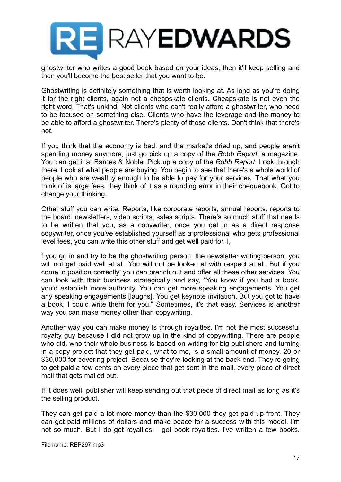

ghostwriter who writes a good book based on your ideas, then it'll keep selling and then you'll become the best seller that you want to be.

Ghostwriting is definitely something that is worth looking at. As long as you're doing it for the right clients, again not a cheapskate clients. Cheapskate is not even the right word. That's unkind. Not clients who can't really afford a ghostwriter, who need to be focused on something else. Clients who have the leverage and the money to be able to afford a ghostwriter. There's plenty of those clients. Don't think that there's not.

If you think that the economy is bad, and the market's dried up, and people aren't spending money anymore, just go pick up a copy of the *Robb Report,* a magazine. You can get it at Barnes & Noble. Pick up a copy of the *Robb Report*. Look through there. Look at what people are buying. You begin to see that there's a whole world of people who are wealthy enough to be able to pay for your services. That what you think of is large fees, they think of it as a rounding error in their chequebook. Got to change your thinking.

Other stuff you can write. Reports, like corporate reports, annual reports, reports to the board, newsletters, video scripts, sales scripts. There's so much stuff that needs to be written that you, as a copywriter, once you get in as a direct response copywriter, once you've established yourself as a professional who gets professional level fees, you can write this other stuff and get well paid for. I,

f you go in and try to be the ghostwriting person, the newsletter writing person, you will not get paid well at all. You will not be looked at with respect at all. But if you come in position correctly, you can branch out and offer all these other services. You can look with their business strategically and say, "You know if you had a book, you'd establish more authority. You can get more speaking engagements. You get any speaking engagements [laughs]. You get keynote invitation. But you got to have a book. I could write them for you." Sometimes, it's that easy. Services is another way you can make money other than copywriting.

Another way you can make money is through royalties. I'm not the most successful royalty guy because I did not grow up in the kind of copywriting. There are people who did, who their whole business is based on writing for big publishers and turning in a copy project that they get paid, what to me, is a small amount of money. 20 or \$30,000 for covering project. Because they're looking at the back end. They're going to get paid a few cents on every piece that get sent in the mail, every piece of direct mail that gets mailed out.

If it does well, publisher will keep sending out that piece of direct mail as long as it's the selling product.

They can get paid a lot more money than the \$30,000 they get paid up front. They can get paid millions of dollars and make peace for a success with this model. I'm not so much. But I do get royalties. I get book royalties. I've written a few books.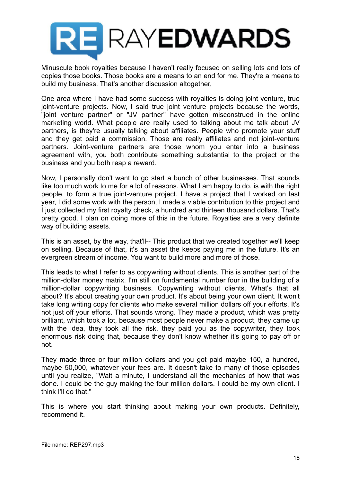

Minuscule book royalties because I haven't really focused on selling lots and lots of copies those books. Those books are a means to an end for me. They're a means to build my business. That's another discussion altogether,

One area where I have had some success with royalties is doing joint venture, true joint-venture projects. Now, I said true joint venture projects because the words, "joint venture partner" or "JV partner" have gotten misconstrued in the online marketing world. What people are really used to talking about me talk about JV partners, is they're usually talking about affiliates. People who promote your stuff and they get paid a commission. Those are really affiliates and not joint-venture partners. Joint-venture partners are those whom you enter into a business agreement with, you both contribute something substantial to the project or the business and you both reap a reward.

Now, I personally don't want to go start a bunch of other businesses. That sounds like too much work to me for a lot of reasons. What I am happy to do, is with the right people, to form a true joint-venture project. I have a project that I worked on last year, I did some work with the person, I made a viable contribution to this project and I just collected my first royalty check, a hundred and thirteen thousand dollars. That's pretty good. I plan on doing more of this in the future. Royalties are a very definite way of building assets.

This is an asset, by the way, that'll-- This product that we created together we'll keep on selling. Because of that, it's an asset the keeps paying me in the future. It's an evergreen stream of income. You want to build more and more of those.

This leads to what I refer to as copywriting without clients. This is another part of the million-dollar money matrix. I'm still on fundamental number four in the building of a million-dollar copywriting business. Copywriting without clients. What's that all about? It's about creating your own product. It's about being your own client. It won't take long writing copy for clients who make several million dollars off your efforts. It's not just off your efforts. That sounds wrong. They made a product, which was pretty brilliant, which took a lot, because most people never make a product, they came up with the idea, they took all the risk, they paid you as the copywriter, they took enormous risk doing that, because they don't know whether it's going to pay off or not.

They made three or four million dollars and you got paid maybe 150, a hundred, maybe 50,000, whatever your fees are. It doesn't take to many of those episodes until you realize, "Wait a minute, I understand all the mechanics of how that was done. I could be the guy making the four million dollars. I could be my own client. I think I'll do that."

This is where you start thinking about making your own products. Definitely, recommend it.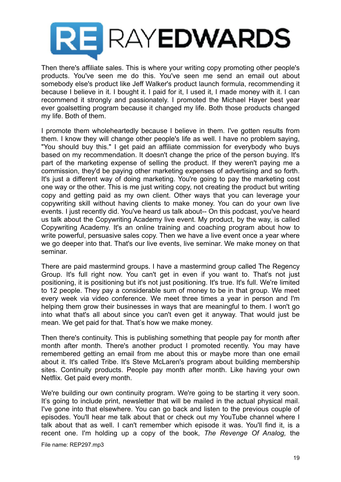

Then there's affiliate sales. This is where your writing copy promoting other people's products. You've seen me do this. You've seen me send an email out about somebody else's product like Jeff Walker's product launch formula, recommending it because I believe in it. I bought it. I paid for it, I used it, I made money with it. I can recommend it strongly and passionately. I promoted the Michael Hayer best year ever goalsetting program because it changed my life. Both those products changed my life. Both of them.

I promote them wholeheartedly because I believe in them. I've gotten results from them. I know they will change other people's life as well. I have no problem saying, "You should buy this." I get paid an affiliate commission for everybody who buys based on my recommendation. It doesn't change the price of the person buying. It's part of the marketing expense of selling the product. If they weren't paying me a commission, they'd be paying other marketing expenses of advertising and so forth. It's just a different way of doing marketing. You're going to pay the marketing cost one way or the other. This is me just writing copy, not creating the product but writing copy and getting paid as my own client. Other ways that you can leverage your copywriting skill without having clients to make money. You can do your own live events. I just recently did. You've heard us talk about-- On this podcast, you've heard us talk about the Copywriting Academy live event. My product, by the way, is called Copywriting Academy. It's an online training and coaching program about how to write powerful, persuasive sales copy. Then we have a live event once a year where we go deeper into that. That's our live events, live seminar. We make money on that seminar.

There are paid mastermind groups. I have a mastermind group called The Regency Group. It's full right now. You can't get in even if you want to. That's not just positioning, it is positioning but it's not just positioning. It's true. It's full. We're limited to 12 people. They pay a considerable sum of money to be in that group. We meet every week via video conference. We meet three times a year in person and I'm helping them grow their businesses in ways that are meaningful to them. I won't go into what that's all about since you can't even get it anyway. That would just be mean. We get paid for that. That's how we make money.

Then there's continuity. This is publishing something that people pay for month after month after month. There's another product I promoted recently. You may have remembered getting an email from me about this or maybe more than one email about it. It's called Tribe. It's Steve McLaren's program about building membership sites. Continuity products. People pay month after month. Like having your own Netflix. Get paid every month.

We're building our own continuity program. We're going to be starting it very soon. It's going to include print, newsletter that will be mailed in the actual physical mail. I've gone into that elsewhere. You can go back and listen to the previous couple of episodes. You'll hear me talk about that or check out my YouTube channel where I talk about that as well. I can't remember which episode it was. You'll find it, is a recent one. I'm holding up a copy of the book, *The Revenge Of Analog,* the

File name: REP297.mp3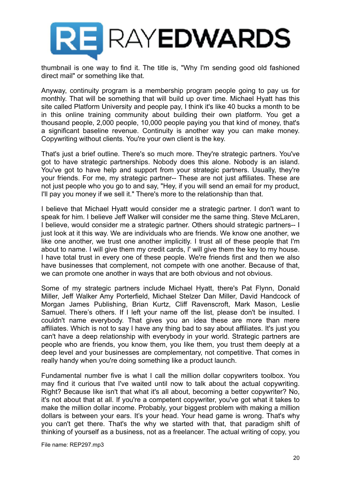

thumbnail is one way to find it. The title is, "Why I'm sending good old fashioned direct mail" or something like that.

Anyway, continuity program is a membership program people going to pay us for monthly. That will be something that will build up over time. Michael Hyatt has this site called Platform University and people pay, I think it's like 40 bucks a month to be in this online training community about building their own platform. You get a thousand people, 2,000 people, 10,000 people paying you that kind of money, that's a significant baseline revenue. Continuity is another way you can make money. Copywriting without clients. You're your own client is the key.

That's just a brief outline. There's so much more. They're strategic partners. You've got to have strategic partnerships. Nobody does this alone. Nobody is an island. You've got to have help and support from your strategic partners. Usually, they're your friends. For me, my strategic partner-- These are not just affiliates. These are not just people who you go to and say, "Hey, if you will send an email for my product, I'll pay you money if we sell it." There's more to the relationship than that.

I believe that Michael Hyatt would consider me a strategic partner. I don't want to speak for him. I believe Jeff Walker will consider me the same thing. Steve McLaren, I believe, would consider me a strategic partner. Others should strategic partners-- I just look at it this way. We are individuals who are friends. We know one another, we like one another, we trust one another implicitly. I trust all of these people that I'm about to name. I will give them my credit cards, I' will give them the key to my house. I have total trust in every one of these people. We're friends first and then we also have businesses that complement, not compete with one another. Because of that, we can promote one another in ways that are both obvious and not obvious.

Some of my strategic partners include Michael Hyatt, there's Pat Flynn, Donald Miller, Jeff Walker Amy Porterfield, Michael Stelzer Dan Miller, David Handcock of Morgan James Publishing, Brian Kurtz, Cliff Ravenscroft, Mark Mason, Leslie Samuel. There's others. If I left your name off the list, please don't be insulted. I couldn't name everybody. That gives you an idea these are more than mere affiliates. Which is not to say I have any thing bad to say about affiliates. It's just you can't have a deep relationship with everybody in your world. Strategic partners are people who are friends, you know them, you like them, you trust them deeply at a deep level and your businesses are complementary, not competitive. That comes in really handy when you're doing something like a product launch.

Fundamental number five is what I call the million dollar copywriters toolbox. You may find it curious that I've waited until now to talk about the actual copywriting. Right? Because like isn't that what it's all about, becoming a better copywriter? No, it's not about that at all. If you're a competent copywriter, you've got what it takes to make the million dollar income. Probably, your biggest problem with making a million dollars is between your ears. It's your head. Your head game is wrong. That's why you can't get there. That's the why we started with that, that paradigm shift of thinking of yourself as a business, not as a freelancer. The actual writing of copy, you

File name: REP297.mp3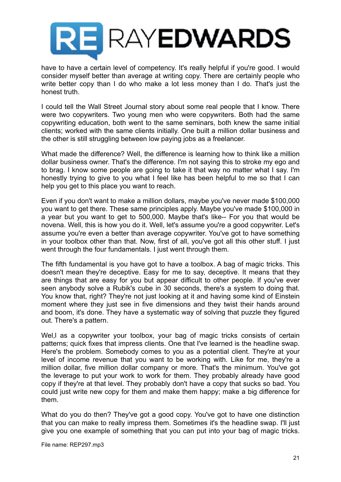

have to have a certain level of competency. It's really helpful if you're good. I would consider myself better than average at writing copy. There are certainly people who write better copy than I do who make a lot less money than I do. That's just the honest truth.

I could tell the Wall Street Journal story about some real people that I know. There were two copywriters. Two young men who were copywriters. Both had the same copywriting education, both went to the same seminars, both knew the same initial clients; worked with the same clients initially. One built a million dollar business and the other is still struggling between low paying jobs as a freelancer.

What made the difference? Well, the difference is learning how to think like a million dollar business owner. That's the difference. I'm not saying this to stroke my ego and to brag. I know some people are going to take it that way no matter what I say. I'm honestly trying to give to you what I feel like has been helpful to me so that I can help you get to this place you want to reach.

Even if you don't want to make a million dollars, maybe you've never made \$100,000 you want to get there. These same principles apply. Maybe you've made \$100,000 in a year but you want to get to 500,000. Maybe that's like-- For you that would be novena. Well, this is how you do it. Well, let's assume you're a good copywriter. Let's assume you're even a better than average copywriter. You've got to have something in your toolbox other than that. Now, first of all, you've got all this other stuff. I just went through the four fundamentals. I just went through them.

The fifth fundamental is you have got to have a toolbox. A bag of magic tricks. This doesn't mean they're deceptive. Easy for me to say, deceptive. It means that they are things that are easy for you but appear difficult to other people. If you've ever seen anybody solve a Rubik's cube in 30 seconds, there's a system to doing that. You know that, right? They're not just looking at it and having some kind of Einstein moment where they just see in five dimensions and they twist their hands around and boom, it's done. They have a systematic way of solving that puzzle they figured out. There's a pattern.

Wel, I as a copywriter your toolbox, your bag of magic tricks consists of certain patterns; quick fixes that impress clients. One that I've learned is the headline swap. Here's the problem. Somebody comes to you as a potential client. They're at your level of income revenue that you want to be working with. Like for me, they're a million dollar, five million dollar company or more. That's the minimum. You've got the leverage to put your work to work for them. They probably already have good copy if they're at that level. They probably don't have a copy that sucks so bad. You could just write new copy for them and make them happy; make a big difference for them.

What do you do then? They've got a good copy. You've got to have one distinction that you can make to really impress them. Sometimes it's the headline swap. I'll just give you one example of something that you can put into your bag of magic tricks.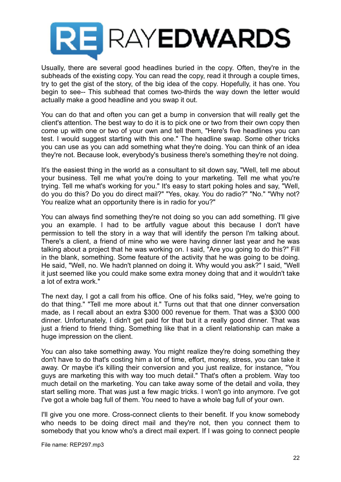

Usually, there are several good headlines buried in the copy. Often, they're in the subheads of the existing copy. You can read the copy, read it through a couple times, try to get the gist of the story, of the big idea of the copy. Hopefully, it has one. You begin to see-- This subhead that comes two-thirds the way down the letter would actually make a good headline and you swap it out.

You can do that and often you can get a bump in conversion that will really get the client's attention. The best way to do it is to pick one or two from their own copy then come up with one or two of your own and tell them, "Here's five headlines you can test. I would suggest starting with this one." The headline swap. Some other tricks you can use as you can add something what they're doing. You can think of an idea they're not. Because look, everybody's business there's something they're not doing.

It's the easiest thing in the world as a consultant to sit down say, "Well, tell me about your business. Tell me what you're doing to your marketing. Tell me what you're trying. Tell me what's working for you." It's easy to start poking holes and say, "Well, do you do this? Do you do direct mail?" "Yes, okay. You do radio?" "No." "Why not? You realize what an opportunity there is in radio for you?"

You can always find something they're not doing so you can add something. I'll give you an example. I had to be artfully vague about this because I don't have permission to tell the story in a way that will identify the person I'm talking about. There's a client, a friend of mine who we were having dinner last year and he was talking about a project that he was working on. I said, "Are you going to do this?" Fill in the blank, something. Some feature of the activity that he was going to be doing. He said, "Well, no. We hadn't planned on doing it. Why would you ask?" I said, "Well it just seemed like you could make some extra money doing that and it wouldn't take a lot of extra work."

The next day, I got a call from his office. One of his folks said, "Hey, we're going to do that thing." "Tell me more about it." Turns out that that one dinner conversation made, as I recall about an extra \$300 000 revenue for them. That was a \$300 000 dinner. Unfortunately, I didn't get paid for that but it a really good dinner. That was just a friend to friend thing. Something like that in a client relationship can make a huge impression on the client.

You can also take something away. You might realize they're doing something they don't have to do that's costing him a lot of time, effort, money, stress, you can take it away. Or maybe it's killing their conversion and you just realize, for instance, "You guys are marketing this with way too much detail." That's often a problem. Way too much detail on the marketing. You can take away some of the detail and voila, they start selling more. That was just a few magic tricks. I won't go into anymore. I've got I've got a whole bag full of them. You need to have a whole bag full of your own.

I'll give you one more. Cross-connect clients to their benefit. If you know somebody who needs to be doing direct mail and they're not, then you connect them to somebody that you know who's a direct mail expert. If I was going to connect people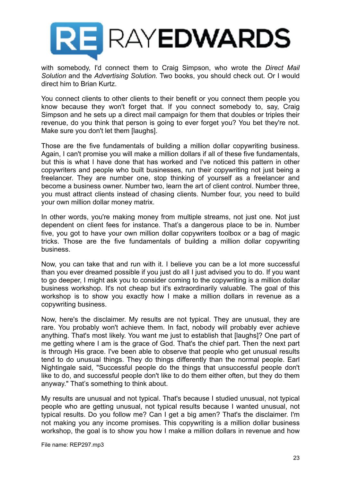

with somebody, I'd connect them to Craig Simpson, who wrote the *Direct Mail Solution* and the *Advertising Solution.* Two books, you should check out. Or I would direct him to Brian Kurtz.

You connect clients to other clients to their benefit or you connect them people you know because they won't forget that. If you connect somebody to, say, Craig Simpson and he sets up a direct mail campaign for them that doubles or triples their revenue, do you think that person is going to ever forget you? You bet they're not. Make sure you don't let them [laughs].

Those are the five fundamentals of building a million dollar copywriting business. Again, I can't promise you will make a million dollars if all of these five fundamentals, but this is what I have done that has worked and I've noticed this pattern in other copywriters and people who built businesses, run their copywriting not just being a freelancer. They are number one, stop thinking of yourself as a freelancer and become a business owner. Number two, learn the art of client control. Number three, you must attract clients instead of chasing clients. Number four, you need to build your own million dollar money matrix.

In other words, you're making money from multiple streams, not just one. Not just dependent on client fees for instance. That's a dangerous place to be in. Number five, you got to have your own million dollar copywriters toolbox or a bag of magic tricks. Those are the five fundamentals of building a million dollar copywriting business.

Now, you can take that and run with it. I believe you can be a lot more successful than you ever dreamed possible if you just do all I just advised you to do. If you want to go deeper, I might ask you to consider coming to the copywriting is a million dollar business workshop. It's not cheap but it's extraordinarily valuable. The goal of this workshop is to show you exactly how I make a million dollars in revenue as a copywriting business.

Now, here's the disclaimer. My results are not typical. They are unusual, they are rare. You probably won't achieve them. In fact, nobody will probably ever achieve anything. That's most likely. You want me just to establish that [laughs]? One part of me getting where I am is the grace of God. That's the chief part. Then the next part is through His grace. I've been able to observe that people who get unusual results tend to do unusual things. They do things differently than the normal people. Earl Nightingale said, "Successful people do the things that unsuccessful people don't like to do, and successful people don't like to do them either often, but they do them anyway." That's something to think about.

My results are unusual and not typical. That's because I studied unusual, not typical people who are getting unusual, not typical results because I wanted unusual, not typical results. Do you follow me? Can I get a big amen? That's the disclaimer. I'm not making you any income promises. This copywriting is a million dollar business workshop, the goal is to show you how I make a million dollars in revenue and how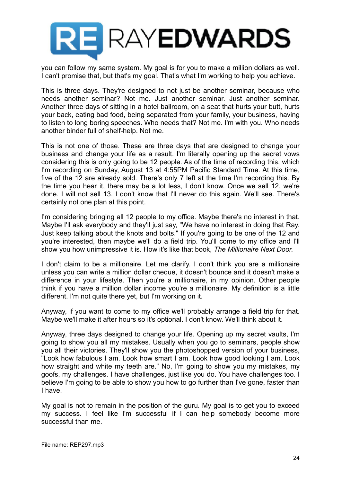

you can follow my same system. My goal is for you to make a million dollars as well. I can't promise that, but that's my goal. That's what I'm working to help you achieve.

This is three days. They're designed to not just be another seminar, because who needs another seminar? Not me. Just another seminar. Just another seminar. Another three days of sitting in a hotel ballroom, on a seat that hurts your butt, hurts your back, eating bad food, being separated from your family, your business, having to listen to long boring speeches. Who needs that? Not me. I'm with you. Who needs another binder full of shelf-help. Not me.

This is not one of those. These are three days that are designed to change your business and change your life as a result. I'm literally opening up the secret vows considering this is only going to be 12 people. As of the time of recording this, which I'm recording on Sunday, August 13 at 4:55PM Pacific Standard Time. At this time, five of the 12 are already sold. There's only 7 left at the time I'm recording this. By the time you hear it, there may be a lot less, I don't know. Once we sell 12, we're done. I will not sell 13. I don't know that I'll never do this again. We'll see. There's certainly not one plan at this point.

I'm considering bringing all 12 people to my office. Maybe there's no interest in that. Maybe I'll ask everybody and they'll just say, "We have no interest in doing that Ray. Just keep talking about the knots and bolts." If you're going to be one of the 12 and you're interested, then maybe we'll do a field trip. You'll come to my office and I'll show you how unimpressive it is. How it's like that book, *The Millionaire Next Door.*

I don't claim to be a millionaire. Let me clarify. I don't think you are a millionaire unless you can write a million dollar cheque, it doesn't bounce and it doesn't make a difference in your lifestyle. Then you're a millionaire, in my opinion. Other people think if you have a million dollar income you're a millionaire. My definition is a little different. I'm not quite there yet, but I'm working on it.

Anyway, if you want to come to my office we'll probably arrange a field trip for that. Maybe we'll make it after hours so it's optional. I don't know. We'll think about it.

Anyway, three days designed to change your life. Opening up my secret vaults, I'm going to show you all my mistakes. Usually when you go to seminars, people show you all their victories. They'll show you the photoshopped version of your business, "Look how fabulous I am. Look how smart I am. Look how good looking I am. Look how straight and white my teeth are." No, I'm going to show you my mistakes, my goofs, my challenges. I have challenges, just like you do. You have challenges too. I believe I'm going to be able to show you how to go further than I've gone, faster than I have.

My goal is not to remain in the position of the guru. My goal is to get you to exceed my success. I feel like I'm successful if I can help somebody become more successful than me.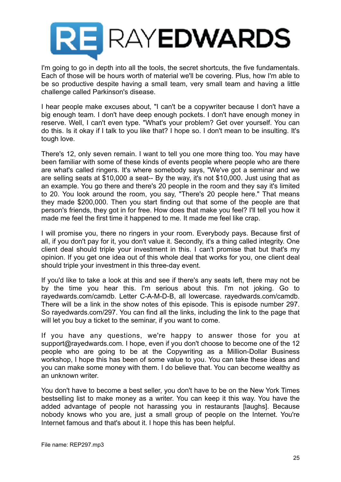

I'm going to go in depth into all the tools, the secret shortcuts, the five fundamentals. Each of those will be hours worth of material we'll be covering. Plus, how I'm able to be so productive despite having a small team, very small team and having a little challenge called Parkinson's disease.

I hear people make excuses about, "I can't be a copywriter because I don't have a big enough team. I don't have deep enough pockets. I don't have enough money in reserve. Well, I can't even type. "What's your problem? Get over yourself. You can do this. Is it okay if I talk to you like that? I hope so. I don't mean to be insulting. It's tough love.

There's 12, only seven remain. I want to tell you one more thing too. You may have been familiar with some of these kinds of events people where people who are there are what's called ringers. It's where somebody says, "We've got a seminar and we are selling seats at \$10,000 a seat-- By the way, it's not \$10,000. Just using that as an example. You go there and there's 20 people in the room and they say it's limited to 20. You look around the room, you say, "There's 20 people here." That means they made \$200,000. Then you start finding out that some of the people are that person's friends, they got in for free. How does that make you feel? I'll tell you how it made me feel the first time it happened to me. It made me feel like crap.

I will promise you, there no ringers in your room. Everybody pays. Because first of all, if you don't pay for it, you don't value it. Secondly, it's a thing called integrity. One client deal should triple your investment in this. I can't promise that but that's my opinion. If you get one idea out of this whole deal that works for you, one client deal should triple your investment in this three-day event.

If you'd like to take a look at this and see if there's any seats left, there may not be by the time you hear this. I'm serious about this. I'm not joking. Go to rayedwards.com/camdb. Letter C-A-M-D-B, all lowercase. rayedwards.com/camdb. There will be a link in the show notes of this episode. This is episode number 297. So rayedwards.com/297. You can find all the links, including the link to the page that will let you buy a ticket to the seminar, if you want to come.

If you have any questions, we're happy to answer those for you at support@rayedwards.com. I hope, even if you don't choose to become one of the 12 people who are going to be at the Copywriting as a Million-Dollar Business workshop, I hope this has been of some value to you. You can take these ideas and you can make some money with them. I do believe that. You can become wealthy as an unknown writer.

You don't have to become a best seller, you don't have to be on the New York Times bestselling list to make money as a writer. You can keep it this way. You have the added advantage of people not harassing you in restaurants [laughs]. Because nobody knows who you are, just a small group of people on the Internet. You're Internet famous and that's about it. I hope this has been helpful.